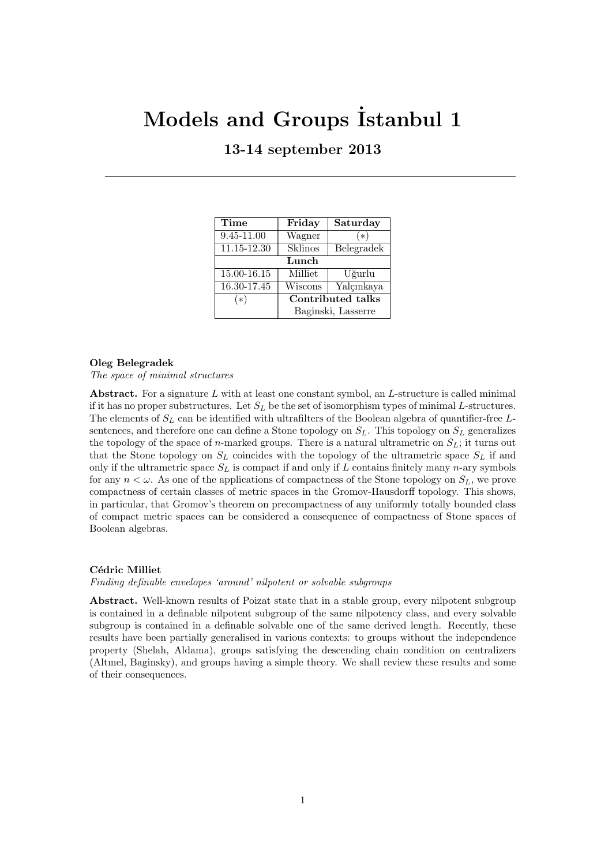# **Models and Groups ˙Istanbul 1**

# **13-14 september 2013**

| Time            | Friday             | Saturday   |
|-----------------|--------------------|------------|
| 9.45-11.00      | Wagner             | ิ∗         |
| 11.15-12.30     | Sklinos            | Belegradek |
| Lunch           |                    |            |
| $15.00 - 16.15$ | Milliet            | Uğurlu     |
| 16.30-17.45     | Wiscons            | Yalçınkaya |
| (*)             | Contributed talks  |            |
|                 | Baginski, Lasserre |            |

## **Oleg Belegradek**

*The space of minimal structures*

**Abstract.** For a signature *L* with at least one constant symbol, an *L*-structure is called minimal if it has no proper substructures. Let  $S_L$  be the set of isomorphism types of minimal *L*-structures. The elements of *S<sup>L</sup>* can be identified with ultrafilters of the Boolean algebra of quantifier-free *L*sentences, and therefore one can define a Stone topology on  $S_L$ . This topology on  $S_L$  generalizes the topology of the space of *n*-marked groups. There is a natural ultrametric on  $S_L$ ; it turns out that the Stone topology on  $S_L$  coincides with the topology of the ultrametric space  $S_L$  if and only if the ultrametric space  $S_L$  is compact if and only if  $L$  contains finitely many  $n$ -ary symbols for any  $n < \omega$ . As one of the applications of compactness of the Stone topology on  $S_L$ , we prove compactness of certain classes of metric spaces in the Gromov-Hausdorff topology. This shows, in particular, that Gromov's theorem on precompactness of any uniformly totally bounded class of compact metric spaces can be considered a consequence of compactness of Stone spaces of Boolean algebras.

## **C´edric Milliet**

*Finding definable envelopes 'around' nilpotent or solvable subgroups*

**Abstract.** Well-known results of Poizat state that in a stable group, every nilpotent subgroup is contained in a definable nilpotent subgroup of the same nilpotency class, and every solvable subgroup is contained in a definable solvable one of the same derived length. Recently, these results have been partially generalised in various contexts: to groups without the independence property (Shelah, Aldama), groups satisfying the descending chain condition on centralizers (Altınel, Baginsky), and groups having a simple theory. We shall review these results and some of their consequences.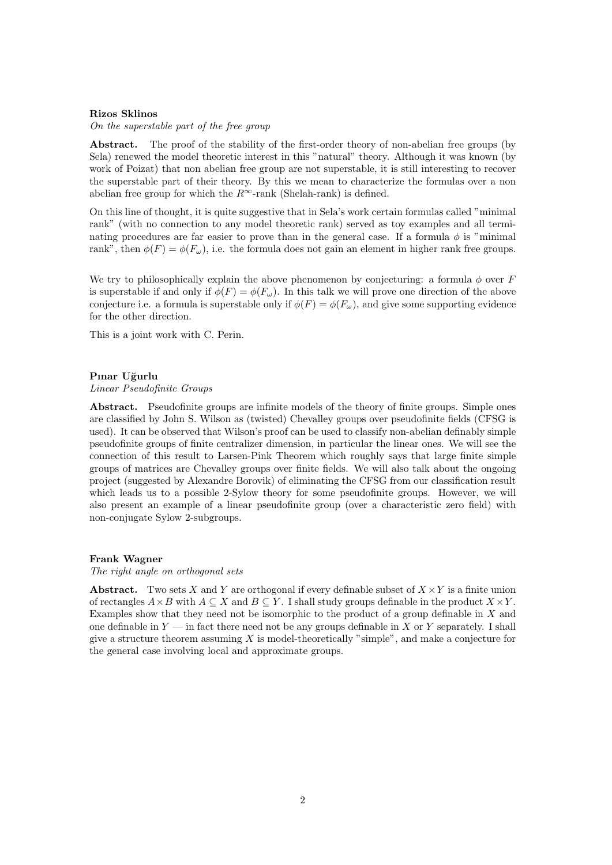#### **Rizos Sklinos**

*On the superstable part of the free group*

Abstract. The proof of the stability of the first-order theory of non-abelian free groups (by Sela) renewed the model theoretic interest in this "natural" theory. Although it was known (by work of Poizat) that non abelian free group are not superstable, it is still interesting to recover the superstable part of their theory. By this we mean to characterize the formulas over a non abelian free group for which the  $R^\infty$ -rank (Shelah-rank) is defined.

On this line of thought, it is quite suggestive that in Sela's work certain formulas called "minimal rank" (with no connection to any model theoretic rank) served as toy examples and all terminating procedures are far easier to prove than in the general case. If a formula  $\phi$  is "minimal" rank", then  $\phi(F) = \phi(F_\omega)$ , i.e. the formula does not gain an element in higher rank free groups.

We try to philosophically explain the above phenomenon by conjecturing: a formula  $\phi$  over  $\ddot{F}$ is superstable if and only if  $\phi(F) = \phi(F_\omega)$ . In this talk we will prove one direction of the above conjecture i.e. a formula is superstable only if  $\phi(F) = \phi(F_\omega)$ , and give some supporting evidence for the other direction.

This is a joint work with C. Perin.

#### **Pınar U˘gurlu**

*Linear Pseudofinite Groups*

Abstract. Pseudofinite groups are infinite models of the theory of finite groups. Simple ones are classified by John S. Wilson as (twisted) Chevalley groups over pseudofinite fields (CFSG is used). It can be observed that Wilson's proof can be used to classify non-abelian definably simple pseudofinite groups of finite centralizer dimension, in particular the linear ones. We will see the connection of this result to Larsen-Pink Theorem which roughly says that large finite simple groups of matrices are Chevalley groups over finite fields. We will also talk about the ongoing project (suggested by Alexandre Borovik) of eliminating the CFSG from our classification result which leads us to a possible 2-Sylow theory for some pseudofinite groups. However, we will also present an example of a linear pseudofinite group (over a characteristic zero field) with non-conjugate Sylow 2-subgroups.

#### **Frank Wagner**

#### *The right angle on orthogonal sets*

**Abstract.** Two sets *X* and *Y* are orthogonal if every definable subset of  $X \times Y$  is a finite union of rectangles  $A \times B$  with  $A \subseteq X$  and  $B \subseteq Y$ . I shall study groups definable in the product  $X \times Y$ . Examples show that they need not be isomorphic to the product of a group definable in *X* and one definable in *Y* — in fact there need not be any groups definable in *X* or *Y* separately. I shall give a structure theorem assuming *X* is model-theoretically "simple", and make a conjecture for the general case involving local and approximate groups.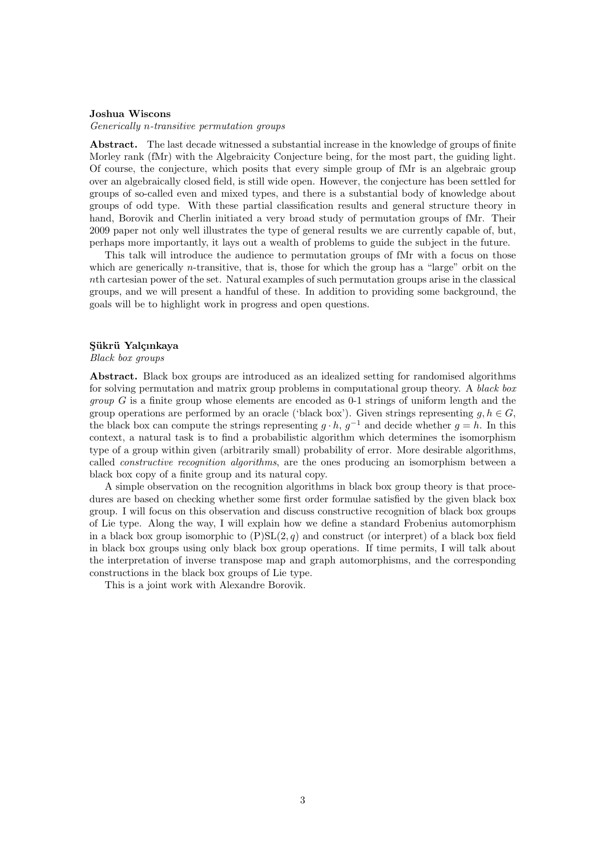## **Joshua Wiscons**

*Generically n-transitive permutation groups*

**Abstract.** The last decade witnessed a substantial increase in the knowledge of groups of finite Morley rank (fMr) with the Algebraicity Conjecture being, for the most part, the guiding light. Of course, the conjecture, which posits that every simple group of fMr is an algebraic group over an algebraically closed field, is still wide open. However, the conjecture has been settled for groups of so-called even and mixed types, and there is a substantial body of knowledge about groups of odd type. With these partial classification results and general structure theory in hand, Borovik and Cherlin initiated a very broad study of permutation groups of fMr. Their 2009 paper not only well illustrates the type of general results we are currently capable of, but, perhaps more importantly, it lays out a wealth of problems to guide the subject in the future.

This talk will introduce the audience to permutation groups of fMr with a focus on those which are generically *n*-transitive, that is, those for which the group has a "large" orbit on the *n*th cartesian power of the set. Natural examples of such permutation groups arise in the classical groups, and we will present a handful of these. In addition to providing some background, the goals will be to highlight work in progress and open questions.

# Sükrü Yalçınkaya

*Black box groups*

**Abstract.** Black box groups are introduced as an idealized setting for randomised algorithms for solving permutation and matrix group problems in computational group theory. A *black box group G* is a finite group whose elements are encoded as 0-1 strings of uniform length and the group operations are performed by an oracle ('black box'). Given strings representing  $g, h \in G$ , the black box can compute the strings representing  $g \cdot h$ ,  $g^{-1}$  and decide whether  $g = h$ . In this context, a natural task is to find a probabilistic algorithm which determines the isomorphism type of a group within given (arbitrarily small) probability of error. More desirable algorithms, called *constructive recognition algorithms*, are the ones producing an isomorphism between a black box copy of a finite group and its natural copy.

A simple observation on the recognition algorithms in black box group theory is that procedures are based on checking whether some first order formulae satisfied by the given black box group. I will focus on this observation and discuss constructive recognition of black box groups of Lie type. Along the way, I will explain how we define a standard Frobenius automorphism in a black box group isomorphic to  $(P)SL(2,q)$  and construct (or interpret) of a black box field in black box groups using only black box group operations. If time permits, I will talk about the interpretation of inverse transpose map and graph automorphisms, and the corresponding constructions in the black box groups of Lie type.

This is a joint work with Alexandre Borovik.